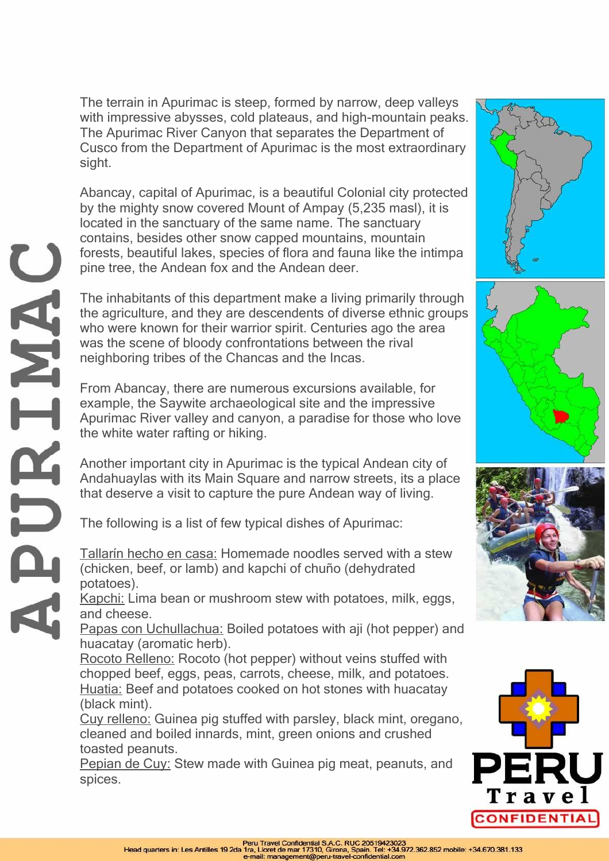The terrain in Apurimac is steep, formed by narrow, deep valleys with impressive abysses, cold plateaus, and high-mountain peaks. The Apurimac River Canyon that separates the Department of Cusco from the Department of Apurimac is the most extraordinary sight.

Abancay, capital of Apurimac, is a beautiful Colonial city protected by the mighty snow covered Mount of Ampay (5,235 masl), it is located in the sanctuary of the same name. The sanctuary contains, besides other snow capped mountains, mountain forests, beautiful lakes, species of flora and fauna like the intimpa pine tree, the Andean fox and the Andean deer.

The inhabitants of this department make a living primarily through the agriculture, and they are descendents of diverse ethnic groups who were known for their warrior spirit. Centuries ago the area was the scene of bloody confrontations between the rival neighboring tribes of the Chancas and the Incas.

From Abancay, there are numerous excursions available, for example, the Saywite archaeological site and the impressive Apurimac River valley and canyon, a paradise for those who love the white water rafting or hiking.

Another important city in Apurimac is the typical Andean city of Andahuaylas with its Main Square and narrow streets, its a place that deserve a visit to capture the pure Andean way of living.

The following is a list of few typical dishes of Apurimac:

Tallarín hecho en casa: Homemade noodles served with a stew (chicken, beef, or lamb) and kapchi of chuño (dehydrated potatoes).

Kapchi: Lima bean or mushroom stew with potatoes, milk, eggs, and cheese.

Papas con Uchullachua: Boiled potatoes with aji (hot pepper) and huacatay (aromatic herb).

Rocoto Relleno: Rocoto (hot pepper) without veins stuffed with chopped beef, eggs, peas, carrots, cheese, milk, and potatoes. Huatia: Beef and potatoes cooked on hot stones with huacatay (black mint).

Cuy relleno: Guinea pig stuffed with parsley, black mint, oregano, cleaned and boiled innards, mint, green onions and crushed toasted peanuts.

Pepian de Cuy: Stew made with Guinea pig meat, peanuts, and spices.









**ANTREA**